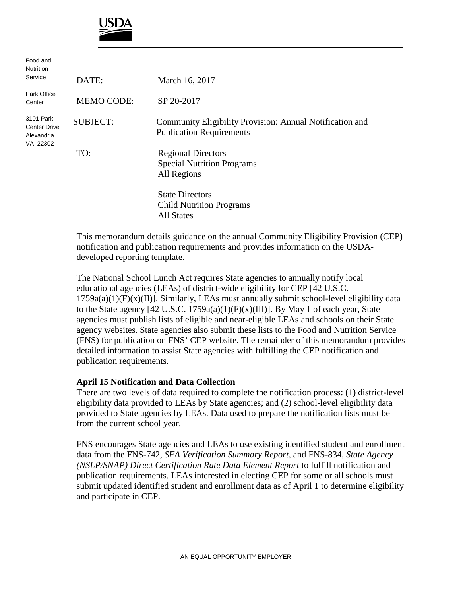

| Food and<br><b>Nutrition</b>                               |                   |                                                                                             |
|------------------------------------------------------------|-------------------|---------------------------------------------------------------------------------------------|
| Service                                                    | DATE:             | March 16, 2017                                                                              |
| Park Office<br>Center                                      | <b>MEMO CODE:</b> | SP 20-2017                                                                                  |
| 3101 Park<br><b>Center Drive</b><br>Alexandria<br>VA 22302 | <b>SUBJECT:</b>   | Community Eligibility Provision: Annual Notification and<br><b>Publication Requirements</b> |
|                                                            | TO:               | <b>Regional Directors</b><br><b>Special Nutrition Programs</b><br>All Regions               |
|                                                            |                   | <b>State Directors</b><br><b>Child Nutrition Programs</b><br><b>All States</b>              |

This memorandum details guidance on the annual Community Eligibility Provision (CEP) notification and publication requirements and provides information on the USDAdeveloped reporting template.

The National School Lunch Act requires State agencies to annually notify local educational agencies (LEAs) of district-wide eligibility for CEP [42 U.S.C.  $1759a(a)(1)(F)(x)(II)$ ]. Similarly, LEAs must annually submit school-level eligibility data to the State agency [42 U.S.C. 1759a(a)(1)(F)(x)(III)]. By May 1 of each year, State agencies must publish lists of eligible and near-eligible LEAs and schools on their State agency websites. State agencies also submit these lists to the Food and Nutrition Service (FNS) for publication on FNS' CEP website. The remainder of this memorandum provides detailed information to assist State agencies with fulfilling the CEP notification and publication requirements.

## **April 15 Notification and Data Collection**

There are two levels of data required to complete the notification process: (1) district-level eligibility data provided to LEAs by State agencies; and (2) school-level eligibility data provided to State agencies by LEAs. Data used to prepare the notification lists must be from the current school year.

FNS encourages State agencies and LEAs to use existing identified student and enrollment data from the FNS-742, *SFA Verification Summary Report*, and FNS-834, *State Agency (NSLP/SNAP) Direct Certification Rate Data Element Report* to fulfill notification and publication requirements. LEAs interested in electing CEP for some or all schools must submit updated identified student and enrollment data as of April 1 to determine eligibility and participate in CEP.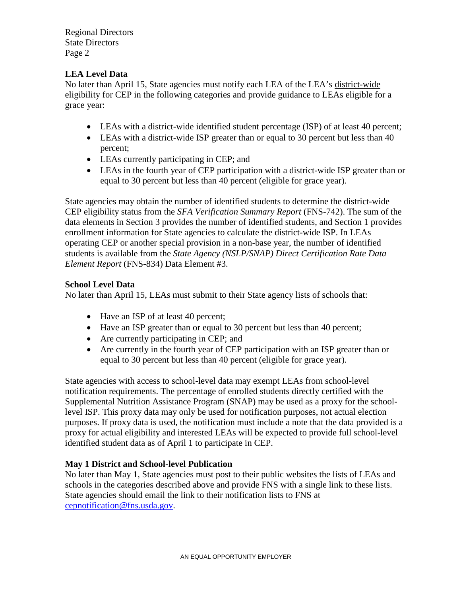Regional Directors State Directors Page 2

## **LEA Level Data**

No later than April 15, State agencies must notify each LEA of the LEA's district-wide eligibility for CEP in the following categories and provide guidance to LEAs eligible for a grace year:

- LEAs with a district-wide identified student percentage (ISP) of at least 40 percent;
- LEAs with a district-wide ISP greater than or equal to 30 percent but less than 40 percent;
- LEAs currently participating in CEP; and
- LEAs in the fourth year of CEP participation with a district-wide ISP greater than or equal to 30 percent but less than 40 percent (eligible for grace year).

State agencies may obtain the number of identified students to determine the district-wide CEP eligibility status from the *SFA Verification Summary Report* (FNS-742). The sum of the data elements in Section 3 provides the number of identified students, and Section 1 provides enrollment information for State agencies to calculate the district-wide ISP. In LEAs operating CEP or another special provision in a non-base year, the number of identified students is available from the *State Agency (NSLP/SNAP) Direct Certification Rate Data Element Report* (FNS-834) Data Element #3.

## **School Level Data**

No later than April 15, LEAs must submit to their State agency lists of schools that:

- Have an ISP of at least 40 percent;
- Have an ISP greater than or equal to 30 percent but less than 40 percent;
- Are currently participating in CEP; and
- Are currently in the fourth year of CEP participation with an ISP greater than or equal to 30 percent but less than 40 percent (eligible for grace year).

State agencies with access to school-level data may exempt LEAs from school-level notification requirements. The percentage of enrolled students directly certified with the Supplemental Nutrition Assistance Program (SNAP) may be used as a proxy for the schoollevel ISP. This proxy data may only be used for notification purposes, not actual election purposes. If proxy data is used, the notification must include a note that the data provided is a proxy for actual eligibility and interested LEAs will be expected to provide full school-level identified student data as of April 1 to participate in CEP.

## **May 1 District and School-level Publication**

No later than May 1, State agencies must post to their public websites the lists of LEAs and schools in the categories described above and provide FNS with a single link to these lists. State agencies should email the link to their notification lists to FNS at [cepnotification@fns.usda.gov.](mailto:cepnotification@fns.usda.gov)